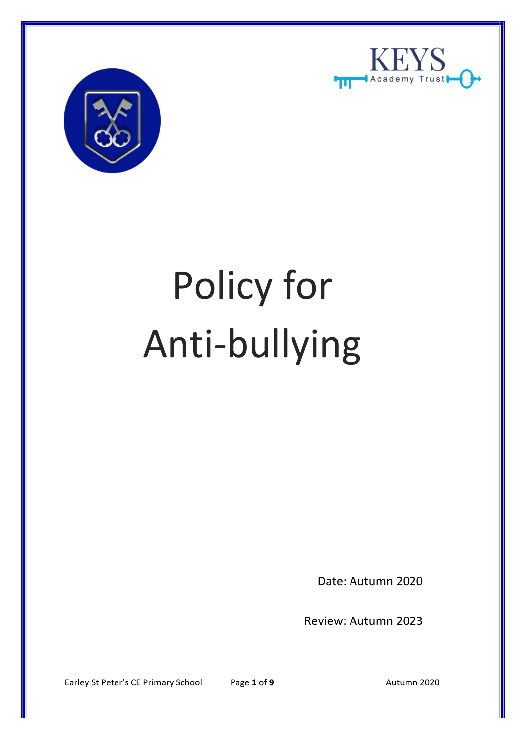



# Policy for Anti-bullying

Date: Autumn 2020

Review: Autumn 2023

Earley St Peter's CE Primary School Page 1 of 9 Autumn 2020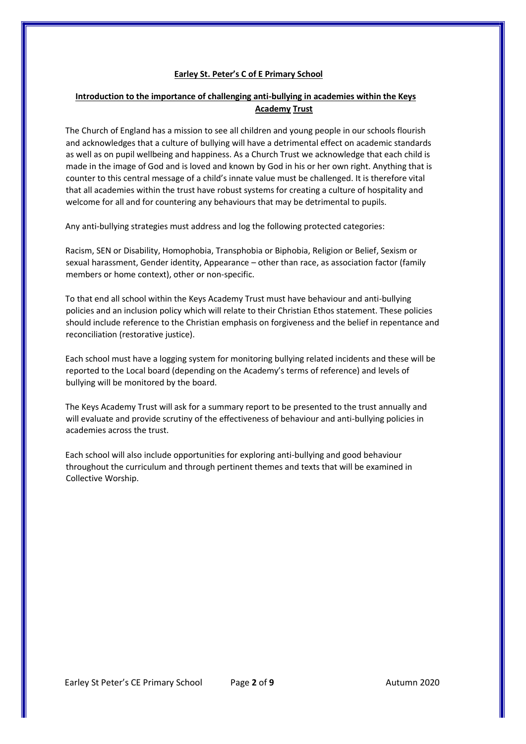# **Earley St. Peter's C of E Primary School**

# **Introduction to the importance of challenging anti-bullying in academies within the Keys Academy Trust**

The Church of England has a mission to see all children and young people in our schools flourish and acknowledges that a culture of bullying will have a detrimental effect on academic standards as well as on pupil wellbeing and happiness. As a Church Trust we acknowledge that each child is made in the image of God and is loved and known by God in his or her own right. Anything that is counter to this central message of a child's innate value must be challenged. It is therefore vital that all academies within the trust have robust systems for creating a culture of hospitality and welcome for all and for countering any behaviours that may be detrimental to pupils.

Any anti-bullying strategies must address and log the following protected categories:

Racism, SEN or Disability, Homophobia, Transphobia or Biphobia, Religion or Belief, Sexism or sexual harassment, Gender identity, Appearance – other than race, as association factor (family members or home context), other or non-specific.

To that end all school within the Keys Academy Trust must have behaviour and anti-bullying policies and an inclusion policy which will relate to their Christian Ethos statement. These policies should include reference to the Christian emphasis on forgiveness and the belief in repentance and reconciliation (restorative justice).

Each school must have a logging system for monitoring bullying related incidents and these will be reported to the Local board (depending on the Academy's terms of reference) and levels of bullying will be monitored by the board.

The Keys Academy Trust will ask for a summary report to be presented to the trust annually and will evaluate and provide scrutiny of the effectiveness of behaviour and anti-bullying policies in academies across the trust.

Each school will also include opportunities for exploring anti-bullying and good behaviour throughout the curriculum and through pertinent themes and texts that will be examined in Collective Worship.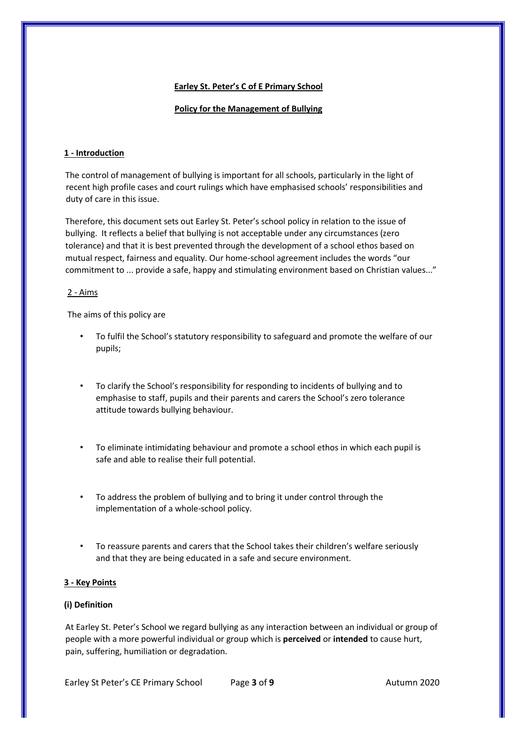# **Earley St. Peter's C of E Primary School**

### **Policy for the Management of Bullying**

# **1 - Introduction**

The control of management of bullying is important for all schools, particularly in the light of recent high profile cases and court rulings which have emphasised schools' responsibilities and duty of care in this issue.

Therefore, this document sets out Earley St. Peter's school policy in relation to the issue of bullying. It reflects a belief that bullying is not acceptable under any circumstances (zero tolerance) and that it is best prevented through the development of a school ethos based on mutual respect, fairness and equality. Our home-school agreement includes the words "our commitment to ... provide a safe, happy and stimulating environment based on Christian values..."

### 2 - Aims

The aims of this policy are

- To fulfil the School's statutory responsibility to safeguard and promote the welfare of our pupils;
- To clarify the School's responsibility for responding to incidents of bullying and to emphasise to staff, pupils and their parents and carers the School's zero tolerance attitude towards bullying behaviour.
- To eliminate intimidating behaviour and promote a school ethos in which each pupil is safe and able to realise their full potential.
- To address the problem of bullying and to bring it under control through the implementation of a whole-school policy.
- To reassure parents and carers that the School takes their children's welfare seriously and that they are being educated in a safe and secure environment.

### **3 - Key Points**

### **(i) Definition**

At Earley St. Peter's School we regard bullying as any interaction between an individual or group of people with a more powerful individual or group which is **perceived** or **intended** to cause hurt, pain, suffering, humiliation or degradation.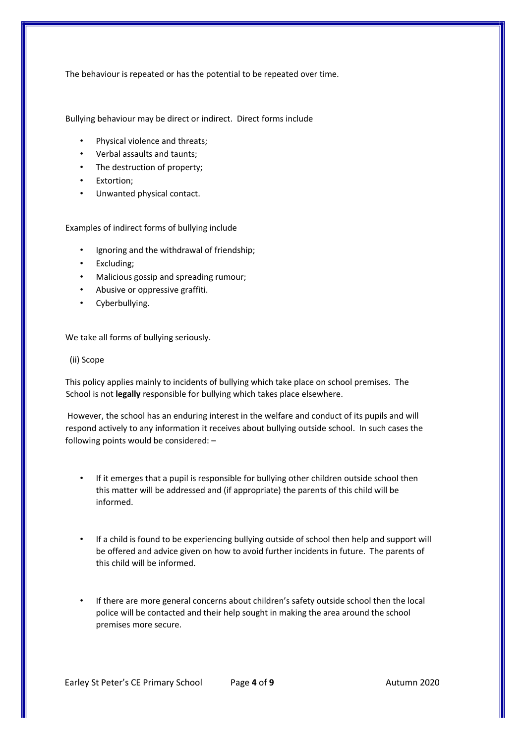The behaviour is repeated or has the potential to be repeated over time.

Bullying behaviour may be direct or indirect. Direct forms include

- Physical violence and threats;
- Verbal assaults and taunts;
- The destruction of property;
- Extortion;
- Unwanted physical contact.

Examples of indirect forms of bullying include

- Ignoring and the withdrawal of friendship;
- Excluding;
- Malicious gossip and spreading rumour;
- Abusive or oppressive graffiti.
- Cyberbullying.

We take all forms of bullying seriously.

### (ii) Scope

This policy applies mainly to incidents of bullying which take place on school premises. The School is not **legally** responsible for bullying which takes place elsewhere.

However, the school has an enduring interest in the welfare and conduct of its pupils and will respond actively to any information it receives about bullying outside school. In such cases the following points would be considered: –

- If it emerges that a pupil is responsible for bullying other children outside school then this matter will be addressed and (if appropriate) the parents of this child will be informed.
- If a child is found to be experiencing bullying outside of school then help and support will be offered and advice given on how to avoid further incidents in future. The parents of this child will be informed.
- If there are more general concerns about children's safety outside school then the local police will be contacted and their help sought in making the area around the school premises more secure.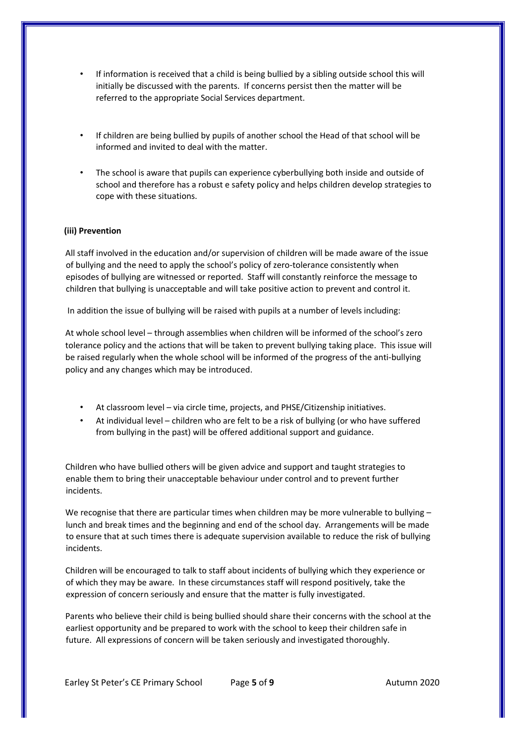- If information is received that a child is being bullied by a sibling outside school this will initially be discussed with the parents. If concerns persist then the matter will be referred to the appropriate Social Services department.
- If children are being bullied by pupils of another school the Head of that school will be informed and invited to deal with the matter.
- The school is aware that pupils can experience cyberbullying both inside and outside of school and therefore has a robust e safety policy and helps children develop strategies to cope with these situations.

# **(iii) Prevention**

All staff involved in the education and/or supervision of children will be made aware of the issue of bullying and the need to apply the school's policy of zero-tolerance consistently when episodes of bullying are witnessed or reported. Staff will constantly reinforce the message to children that bullying is unacceptable and will take positive action to prevent and control it.

In addition the issue of bullying will be raised with pupils at a number of levels including:

At whole school level – through assemblies when children will be informed of the school's zero tolerance policy and the actions that will be taken to prevent bullying taking place. This issue will be raised regularly when the whole school will be informed of the progress of the anti-bullying policy and any changes which may be introduced.

- At classroom level via circle time, projects, and PHSE/Citizenship initiatives.
- At individual level children who are felt to be a risk of bullying (or who have suffered from bullying in the past) will be offered additional support and guidance.

Children who have bullied others will be given advice and support and taught strategies to enable them to bring their unacceptable behaviour under control and to prevent further incidents.

We recognise that there are particular times when children may be more vulnerable to bullying lunch and break times and the beginning and end of the school day. Arrangements will be made to ensure that at such times there is adequate supervision available to reduce the risk of bullying incidents.

Children will be encouraged to talk to staff about incidents of bullying which they experience or of which they may be aware. In these circumstances staff will respond positively, take the expression of concern seriously and ensure that the matter is fully investigated.

Parents who believe their child is being bullied should share their concerns with the school at the earliest opportunity and be prepared to work with the school to keep their children safe in future. All expressions of concern will be taken seriously and investigated thoroughly.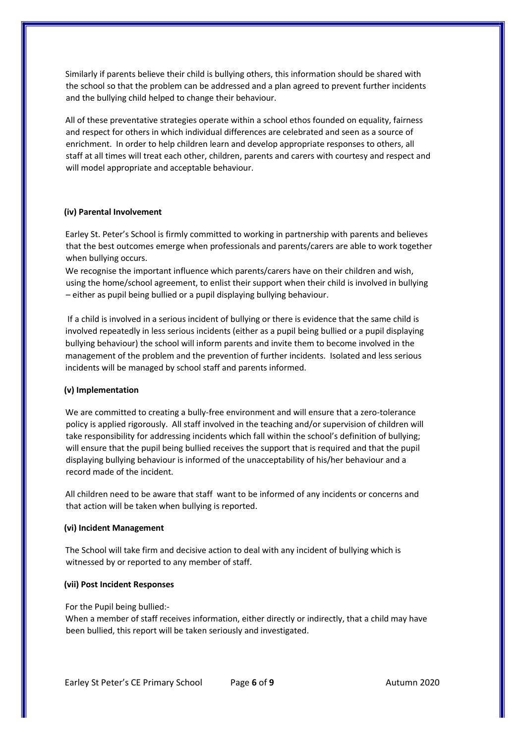Similarly if parents believe their child is bullying others, this information should be shared with the school so that the problem can be addressed and a plan agreed to prevent further incidents and the bullying child helped to change their behaviour.

All of these preventative strategies operate within a school ethos founded on equality, fairness and respect for others in which individual differences are celebrated and seen as a source of enrichment. In order to help children learn and develop appropriate responses to others, all staff at all times will treat each other, children, parents and carers with courtesy and respect and will model appropriate and acceptable behaviour.

### **(iv) Parental Involvement**

Earley St. Peter's School is firmly committed to working in partnership with parents and believes that the best outcomes emerge when professionals and parents/carers are able to work together when bullying occurs.

We recognise the important influence which parents/carers have on their children and wish, using the home/school agreement, to enlist their support when their child is involved in bullying – either as pupil being bullied or a pupil displaying bullying behaviour.

If a child is involved in a serious incident of bullying or there is evidence that the same child is involved repeatedly in less serious incidents (either as a pupil being bullied or a pupil displaying bullying behaviour) the school will inform parents and invite them to become involved in the management of the problem and the prevention of further incidents. Isolated and less serious incidents will be managed by school staff and parents informed.

# **(v) Implementation**

We are committed to creating a bully-free environment and will ensure that a zero-tolerance policy is applied rigorously. All staff involved in the teaching and/or supervision of children will take responsibility for addressing incidents which fall within the school's definition of bullying; will ensure that the pupil being bullied receives the support that is required and that the pupil displaying bullying behaviour is informed of the unacceptability of his/her behaviour and a record made of the incident.

All children need to be aware that staff want to be informed of any incidents or concerns and that action will be taken when bullying is reported.

### **(vi) Incident Management**

The School will take firm and decisive action to deal with any incident of bullying which is witnessed by or reported to any member of staff.

### **(vii) Post Incident Responses**

For the Pupil being bullied:-

When a member of staff receives information, either directly or indirectly, that a child may have been bullied, this report will be taken seriously and investigated.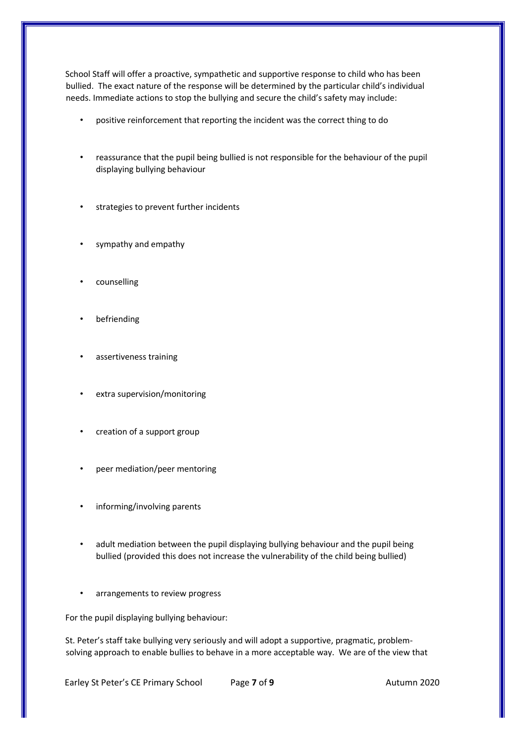School Staff will offer a proactive, sympathetic and supportive response to child who has been bullied. The exact nature of the response will be determined by the particular child's individual needs. Immediate actions to stop the bullying and secure the child's safety may include:

- positive reinforcement that reporting the incident was the correct thing to do
- reassurance that the pupil being bullied is not responsible for the behaviour of the pupil displaying bullying behaviour
- strategies to prevent further incidents
- sympathy and empathy
- counselling
- **befriending**
- assertiveness training
- extra supervision/monitoring
- creation of a support group
- peer mediation/peer mentoring
- informing/involving parents
- adult mediation between the pupil displaying bullying behaviour and the pupil being bullied (provided this does not increase the vulnerability of the child being bullied)
- arrangements to review progress

For the pupil displaying bullying behaviour:

St. Peter's staff take bullying very seriously and will adopt a supportive, pragmatic, problemsolving approach to enable bullies to behave in a more acceptable way. We are of the view that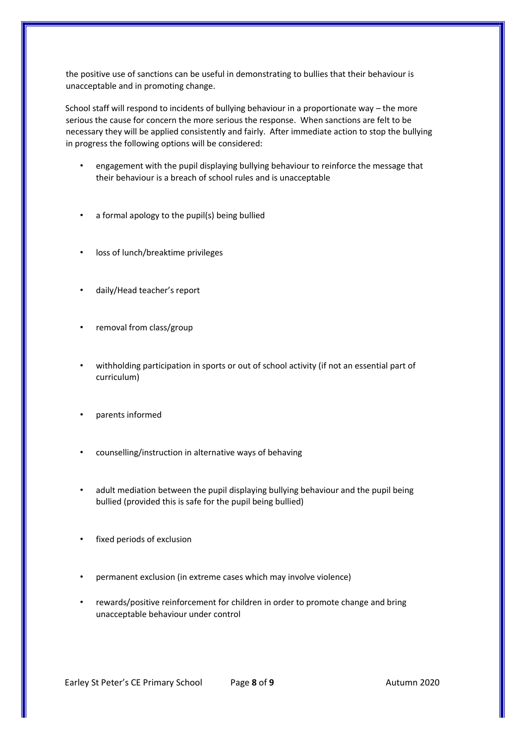the positive use of sanctions can be useful in demonstrating to bullies that their behaviour is unacceptable and in promoting change.

School staff will respond to incidents of bullying behaviour in a proportionate way – the more serious the cause for concern the more serious the response. When sanctions are felt to be necessary they will be applied consistently and fairly. After immediate action to stop the bullying in progress the following options will be considered:

- engagement with the pupil displaying bullying behaviour to reinforce the message that their behaviour is a breach of school rules and is unacceptable
- a formal apology to the pupil(s) being bullied
- loss of lunch/breaktime privileges
- daily/Head teacher's report
- removal from class/group
- withholding participation in sports or out of school activity (if not an essential part of curriculum)
- parents informed
- counselling/instruction in alternative ways of behaving
- adult mediation between the pupil displaying bullying behaviour and the pupil being bullied (provided this is safe for the pupil being bullied)
- fixed periods of exclusion
- permanent exclusion (in extreme cases which may involve violence)
- rewards/positive reinforcement for children in order to promote change and bring unacceptable behaviour under control